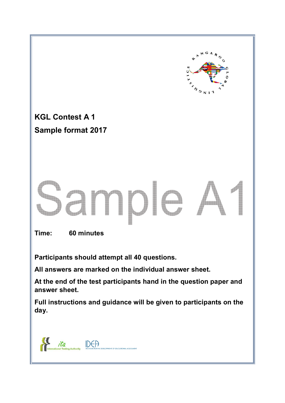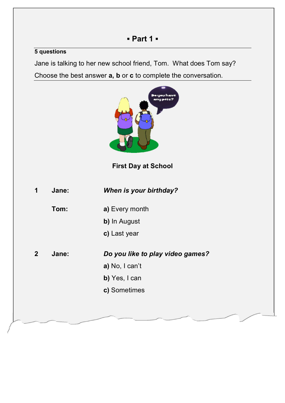#### **5 questions**

Jane is talking to her new school friend, Tom. What does Tom say?

Choose the best answer **a, b** or **c** to complete the conversation.

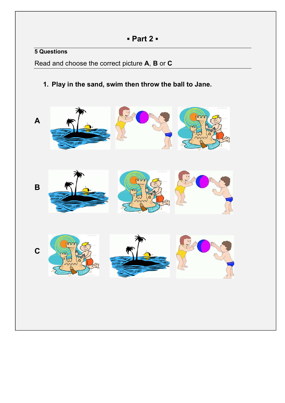### **5 Questions**

Read and choose the correct picture **A**, **B** or **C**

**1. Play in the sand, swim then throw the ball to Jane.** 

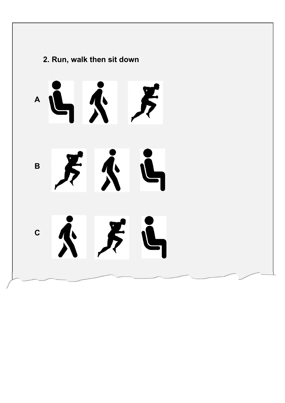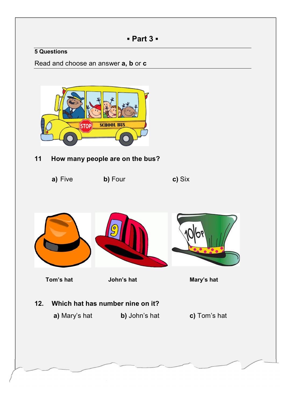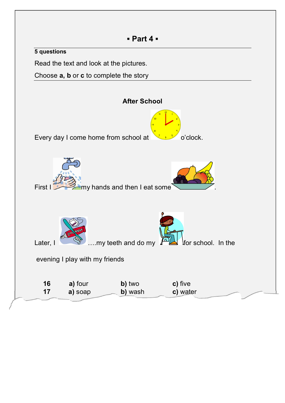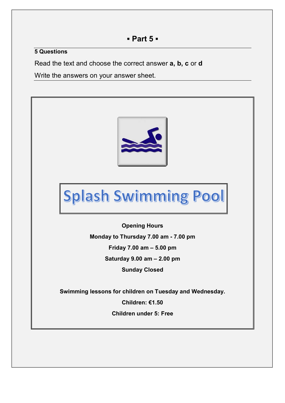#### **5 Questions**

Read the text and choose the correct answer **a, b, c** or **d**

Write the answers on your answer sheet.



# Splash Swimming Pool

**Opening Hours Monday to Thursday 7.00 am - 7.00 pm Friday 7.00 am – 5.00 pm Saturday 9.00 am – 2.00 pm Sunday Closed** 

**Swimming lessons for children on Tuesday and Wednesday. Children: €1.50 Children under 5: Free**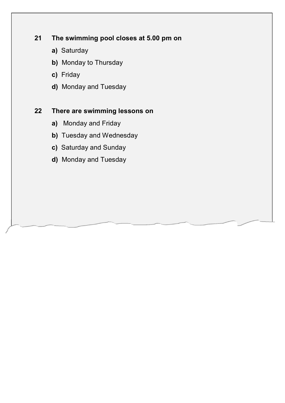#### **21 The swimming pool closes at 5.00 pm on**

- **a)** Saturday
- **b)** Monday to Thursday
- **c)** Friday
- **d)** Monday and Tuesday

#### **22 There are swimming lessons on**

- **a)** Monday and Friday
- **b)** Tuesday and Wednesday
- **c)** Saturday and Sunday
- **d)** Monday and Tuesday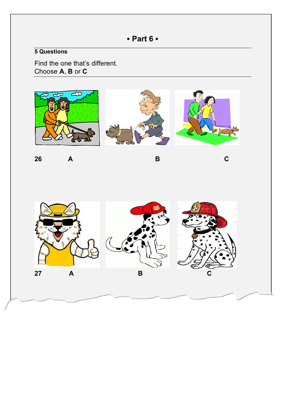## **▪ Part 6 ▪**

## **5 Questions**

Find the one that's different. Choose **A**, **B** or **C**



**26 A B C**